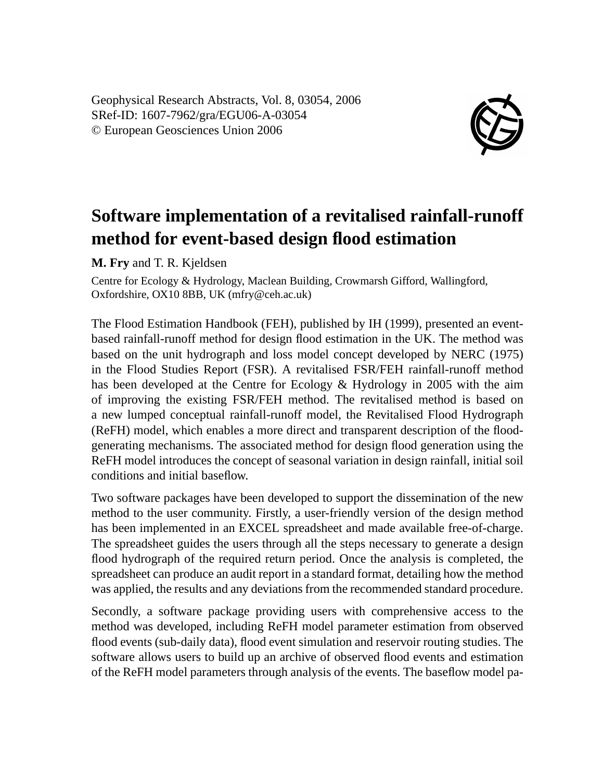Geophysical Research Abstracts, Vol. 8, 03054, 2006 SRef-ID: 1607-7962/gra/EGU06-A-03054 © European Geosciences Union 2006



## **Software implementation of a revitalised rainfall-runoff method for event-based design flood estimation**

**M. Fry** and T. R. Kjeldsen

Centre for Ecology & Hydrology, Maclean Building, Crowmarsh Gifford, Wallingford, Oxfordshire, OX10 8BB, UK (mfry@ceh.ac.uk)

The Flood Estimation Handbook (FEH), published by IH (1999), presented an eventbased rainfall-runoff method for design flood estimation in the UK. The method was based on the unit hydrograph and loss model concept developed by NERC (1975) in the Flood Studies Report (FSR). A revitalised FSR/FEH rainfall-runoff method has been developed at the Centre for Ecology & Hydrology in 2005 with the aim of improving the existing FSR/FEH method. The revitalised method is based on a new lumped conceptual rainfall-runoff model, the Revitalised Flood Hydrograph (ReFH) model, which enables a more direct and transparent description of the floodgenerating mechanisms. The associated method for design flood generation using the ReFH model introduces the concept of seasonal variation in design rainfall, initial soil conditions and initial baseflow.

Two software packages have been developed to support the dissemination of the new method to the user community. Firstly, a user-friendly version of the design method has been implemented in an EXCEL spreadsheet and made available free-of-charge. The spreadsheet guides the users through all the steps necessary to generate a design flood hydrograph of the required return period. Once the analysis is completed, the spreadsheet can produce an audit report in a standard format, detailing how the method was applied, the results and any deviations from the recommended standard procedure.

Secondly, a software package providing users with comprehensive access to the method was developed, including ReFH model parameter estimation from observed flood events (sub-daily data), flood event simulation and reservoir routing studies. The software allows users to build up an archive of observed flood events and estimation of the ReFH model parameters through analysis of the events. The baseflow model pa-